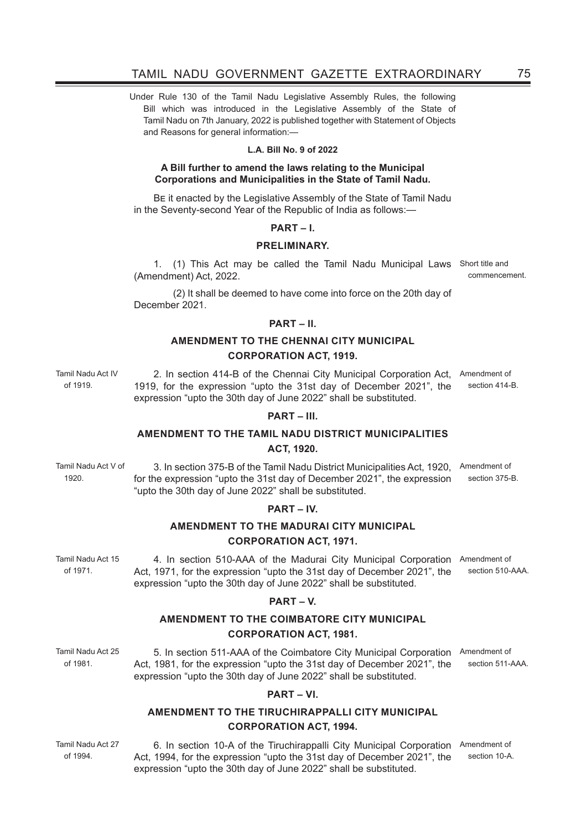Under Rule 130 of the Tamil Nadu Legislative Assembly Rules, the following Bill which was introduced in the Legislative Assembly of the State of Tamil Nadu on 7th January, 2022 is published together with Statement of Objects and Reasons for general information:—

## **L.A. Bill No. 9 of 2022**

## **A Bill further to amend the laws relating to the Municipal Corporations and Municipalities in the State of Tamil Nadu.**

BE it enacted by the Legislative Assembly of the State of Tamil Nadu in the Seventy-second Year of the Republic of India as follows:—

## **PART – I.**

### **PRELIMINARY.**

1. (1) This Act may be called the Tamil Nadu Municipal Laws Short title and (Amendment) Act, 2022. commencement.

 (2) It shall be deemed to have come into force on the 20th day of December 2021.

### **PART – II.**

# **AMENDMENT TO THE CHENNAI CITY MUNICIPAL CORPORATION ACT, 1919.**

Tamil Nadu Act IV 2. In section 414-B of the Chennai City Municipal Corporation Act, Amendment of 1919, for the expression "upto the 31st day of December 2021", the expression "upto the 30th day of June 2022" shall be substituted.

### **PART – III.**

## **AMENDMENT TO THE TAMIL NADU DISTRICT MUNICIPALITIES ACT, 1920.**

Tamil Nadu Act V of 1920. 3. In section 375-B of the Tamil Nadu District Municipalities Act, 1920, Amendment of for the expression "upto the 31st day of December 2021", the expression "upto the 30th day of June 2022" shall be substituted.

### **PART – IV.**

# **AMENDMENT TO THE MADURAI CITY MUNICIPAL CORPORATION ACT, 1971.**

Tamil Nadu Act 15 4. In section 510-AAA of the Madurai City Municipal Corporation Amendment of Act, 1971, for the expression "upto the 31st day of December 2021", the expression "upto the 30th day of June 2022" shall be substituted. section 510-AAA.

### **PART – V.**

# **AMENDMENT TO THE COIMBATORE CITY MUNICIPAL CORPORATION ACT, 1981.**

Tamil Nadu Act 25 5. In section 511-AAA of the Coimbatore City Municipal Corporation Amendment of Act, 1981, for the expression "upto the 31st day of December 2021", the expression "upto the 30th day of June 2022" shall be substituted. section 511-AAA.

### **PART – VI.**

# **AMENDMENT TO THE TIRUCHIRAPPALLI CITY MUNICIPAL CORPORATION ACT, 1994.**

Tamil Nadu Act 27 of 1994.

of 1971.

of 1981.

6. In section 10-A of the Tiruchirappalli City Municipal Corporation Amendment of Act, 1994, for the expression "upto the 31st day of December 2021", the expression "upto the 30th day of June 2022" shall be substituted.

section 10-A

of 1919.

section 414-B.

section 375-B.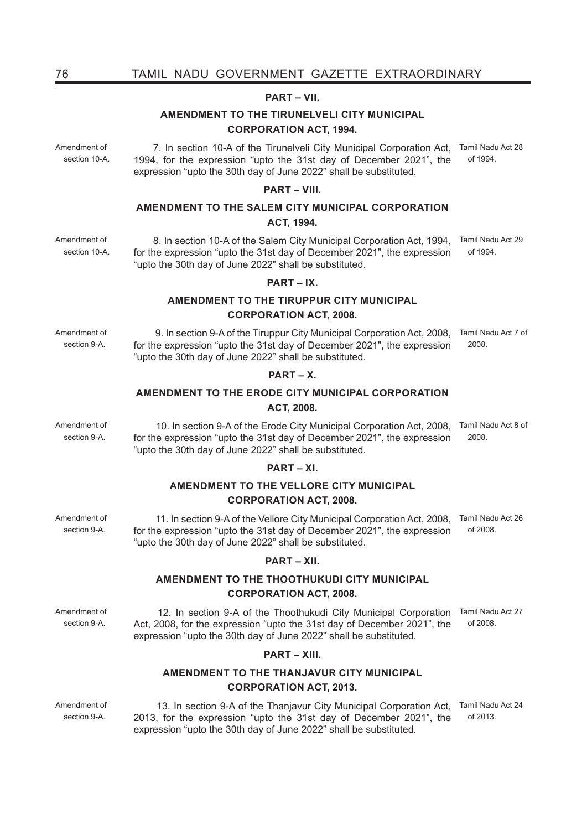## **PART – VII.**

# **AMENDMENT TO THE TIRUNELVELI CITY MUNICIPAL CORPORATION ACT, 1994.**

7. In section 10-A of the Tirunelveli City Municipal Corporation Act, Tamil Nadu Act 28 1994, for the expression "upto the 31st day of December 2021", the expression "upto the 30th day of June 2022" shall be substituted. of 1994.

## **PART – VIII.**

# **AMENDMENT TO THE SALEM CITY MUNICIPAL CORPORATION ACT, 1994.**

8. In section 10-A of the Salem City Municipal Corporation Act, 1994, Tamil Nadu Act 29 for the expression "upto the 31st day of December 2021", the expression "upto the 30th day of June 2022" shall be substituted. of 1994.

9. In section 9-A of the Tiruppur City Municipal Corporation Act, 2008, Tamil Nadu Act 7 of

10. In section 9-A of the Erode City Municipal Corporation Act, 2008, Tamil Nadu Act 8 of

2008.

2008.

### **PART – IX.**

# **AMENDMENT TO THE TIRUPPUR CITY MUNICIPAL**

## **CORPORATION ACT, 2008.**

for the expression "upto the 31st day of December 2021", the expression

**PART – X. AMENDMENT TO THE ERODE CITY MUNICIPAL CORPORATION ACT, 2008.**

for the expression "upto the 31st day of December 2021", the expression

**PART – XI. AMENDMENT TO THE VELLORE CITY MUNICIPAL CORPORATION ACT, 2008.** 

"upto the 30th day of June 2022" shall be substituted.

"upto the 30th day of June 2022" shall be substituted.

Amendment of section 9-A.

section 9-A.

 11. In section 9-A of the Vellore City Municipal Corporation Act, 2008, Tamil Nadu Act 26 for the expression "upto the 31st day of December 2021", the expression "upto the 30th day of June 2022" shall be substituted. of 2008.

### **PART – XII.**

# **AMENDMENT TO THE THOOTHUKUDI CITY MUNICIPAL CORPORATION ACT, 2008.**

Amendment of section 9-A.

 12. In section 9-A of the Thoothukudi City Municipal Corporation Tamil Nadu Act 27 Act, 2008, for the expression "upto the 31st day of December 2021", the expression "upto the 30th day of June 2022" shall be substituted. of 2008.

## **PART – XIII.**

# **AMENDMENT TO THE THANJAVUR CITY MUNICIPAL CORPORATION ACT, 2013.**

 13. In section 9-A of the Thanjavur City Municipal Corporation Act, Tamil Nadu Act 24 2013, for the expression "upto the 31st day of December 2021", the expression "upto the 30th day of June 2022" shall be substituted. of 2013.

Amendment of section 10-A

Amendment of section 10-A.

Amendment of section 9-A.

Amendment of

Amendment of section 9-A.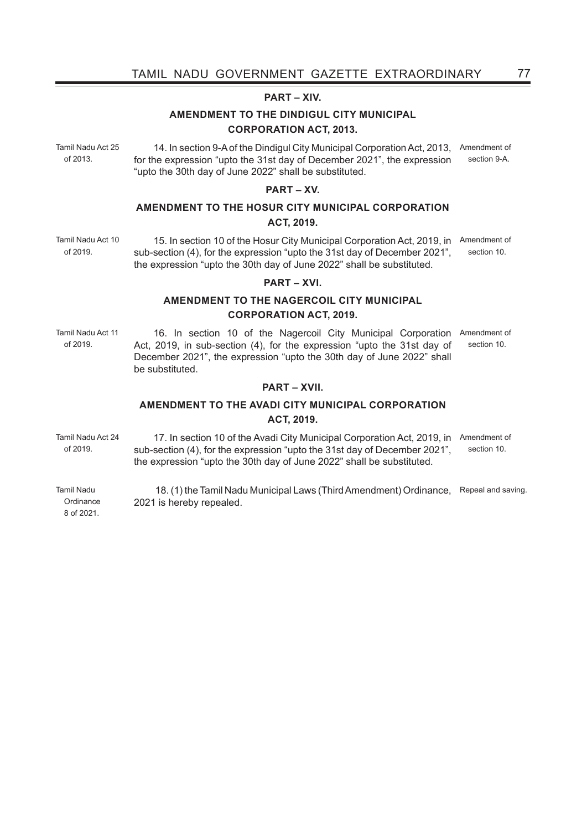## **PART – XIV.**

# **AMENDMENT TO THE DINDIGUL CITY MUNICIPAL CORPORATION ACT, 2013.**

Tamil Nadu Act 25 of 2013.

14. In section 9-A of the Dindigul City Municipal Corporation Act, 2013, Amendment of for the expression "upto the 31st day of December 2021", the expression "upto the 30th day of June 2022" shall be substituted. section 9-A.

## **PART – XV.**

# **AMENDMENT TO THE HOSUR CITY MUNICIPAL CORPORATION ACT, 2019.**

15. In section 10 of the Hosur City Municipal Corporation Act, 2019, in Amendment of sub-section (4), for the expression "upto the 31st day of December 2021", the expression "upto the 30th day of June 2022" shall be substituted. section 10.

### **PART – XVI.**

# **AMENDMENT TO THE NAGERCOIL CITY MUNICIPAL CORPORATION ACT, 2019.**

Tamil Nadu Act 11 of 2019.

16. In section 10 of the Nagercoil City Municipal Corporation Amendment of Act, 2019, in sub-section (4), for the expression "upto the 31st day of December 2021", the expression "upto the 30th day of June 2022" shall be substituted. section 10.

### **PART – XVII.**

# **AMENDMENT TO THE AVADI CITY MUNICIPAL CORPORATION ACT, 2019.**

Tamil Nadu Act 24 of 2019. 17. In section 10 of the Avadi City Municipal Corporation Act, 2019, in Amendment of sub-section (4), for the expression "upto the 31st day of December 2021", the expression "upto the 30th day of June 2022" shall be substituted. section 10.

Tamil Nadu **Ordinance**  18. (1) the Tamil Nadu Municipal Laws (Third Amendment) Ordinance, Repeal and saving.2021 is hereby repealed.

8 of 2021.

Tamil Nadu Act 10 of 2019.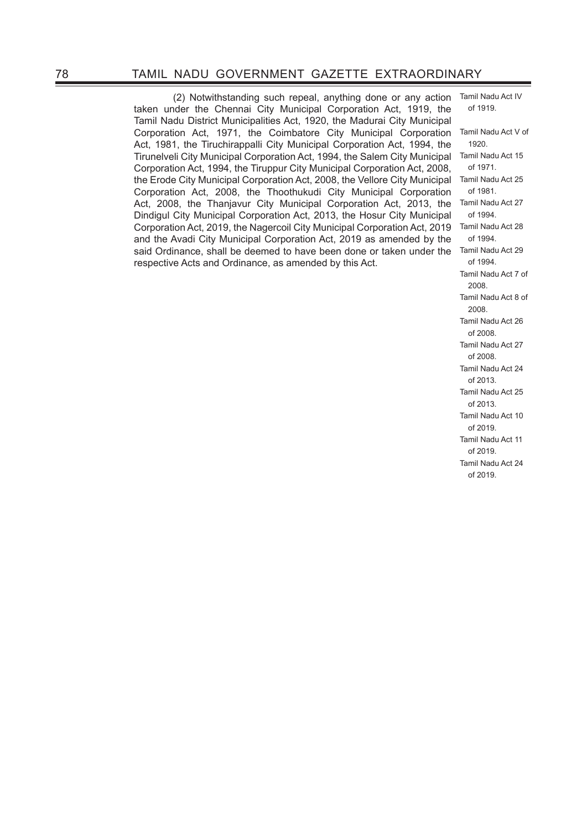(2) Notwithstanding such repeal, anything done or any action taken under the Chennai City Municipal Corporation Act, 1919, the Tamil Nadu District Municipalities Act, 1920, the Madurai City Municipal Corporation Act, 1971, the Coimbatore City Municipal Corporation Act, 1981, the Tiruchirappalli City Municipal Corporation Act, 1994, the Tirunelveli City Municipal Corporation Act, 1994, the Salem City Municipal Corporation Act, 1994, the Tiruppur City Municipal Corporation Act, 2008, the Erode City Municipal Corporation Act, 2008, the Vellore City Municipal Corporation Act, 2008, the Thoothukudi City Municipal Corporation Act, 2008, the Thanjavur City Municipal Corporation Act, 2013, the Dindigul City Municipal Corporation Act, 2013, the Hosur City Municipal Corporation Act, 2019, the Nagercoil City Municipal Corporation Act, 2019 and the Avadi City Municipal Corporation Act, 2019 as amended by the said Ordinance, shall be deemed to have been done or taken under the respective Acts and Ordinance, as amended by this Act.

of 1919. Tamil Nadu Act V of 1920. Tamil Nadu Act 15 of 1971. Tamil Nadu Act 25 of 1981. Tamil Nadu Act 27 of 1994. Tamil Nadu Act 28 of 1994. Tamil Nadu Act 29 of 1994. Tamil Nadu Act 7 of 2008. Tamil Nadu Act 8 of 2008. Tamil Nadu Act 26 of 2008. Tamil Nadu Act 27 of 2008. Tamil Nadu Act 24 of 2013. Tamil Nadu Act 25 of 2013. Tamil Nadu Act 10 of 2019. Tamil Nadu Act 11 of 2019. Tamil Nadu Act 24 of 2019.

Tamil Nadu Act IV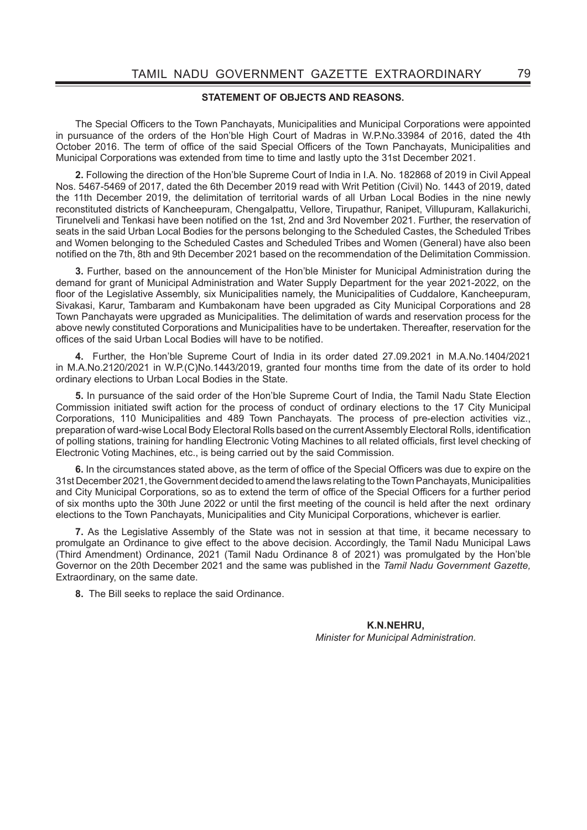## **STATEMENT OF OBJECTS AND REASONS.**

The Special Officers to the Town Panchayats, Municipalities and Municipal Corporations were appointed in pursuance of the orders of the Hon'ble High Court of Madras in W.P.No.33984 of 2016, dated the 4th October 2016. The term of office of the said Special Officers of the Town Panchayats. Municipalities and Municipal Corporations was extended from time to time and lastly upto the 31st December 2021.

**2.** Following the direction of the Hon'ble Supreme Court of India in I.A. No. 182868 of 2019 in Civil Appeal Nos. 5467-5469 of 2017, dated the 6th December 2019 read with Writ Petition (Civil) No. 1443 of 2019, dated the 11th December 2019, the delimitation of territorial wards of all Urban Local Bodies in the nine newly reconstituted districts of Kancheepuram, Chengalpattu, Vellore, Tirupathur, Ranipet, Villupuram, Kallakurichi, Tirunelveli and Tenkasi have been notified on the 1st, 2nd and 3rd November 2021. Further, the reservation of seats in the said Urban Local Bodies for the persons belonging to the Scheduled Castes, the Scheduled Tribes and Women belonging to the Scheduled Castes and Scheduled Tribes and Women (General) have also been notified on the 7th, 8th and 9th December 2021 based on the recommendation of the Delimitation Commission.

**3.** Further, based on the announcement of the Hon'ble Minister for Municipal Administration during the demand for grant of Municipal Administration and Water Supply Department for the year 2021-2022, on the floor of the Legislative Assembly, six Municipalities namely, the Municipalities of Cuddalore, Kancheepuram, Sivakasi, Karur, Tambaram and Kumbakonam have been upgraded as City Municipal Corporations and 28 Town Panchayats were upgraded as Municipalities. The delimitation of wards and reservation process for the above newly constituted Corporations and Municipalities have to be undertaken. Thereafter, reservation for the offices of the said Urban Local Bodies will have to be notified.

**4.** Further, the Hon'ble Supreme Court of India in its order dated 27.09.2021 in M.A.No.1404/2021 in M.A.No.2120/2021 in W.P.(C)No.1443/2019, granted four months time from the date of its order to hold ordinary elections to Urban Local Bodies in the State.

**5.** In pursuance of the said order of the Hon'ble Supreme Court of India, the Tamil Nadu State Election Commission initiated swift action for the process of conduct of ordinary elections to the 17 City Municipal Corporations, 110 Municipalities and 489 Town Panchayats. The process of pre-election activities viz., preparation of ward-wise Local Body Electoral Rolls based on the current Assembly Electoral Rolls, identification of polling stations, training for handling Electronic Voting Machines to all related officials, first level checking of Electronic Voting Machines, etc., is being carried out by the said Commission.

6. In the circumstances stated above, as the term of office of the Special Officers was due to expire on the 31st December 2021, the Government decided to amend the laws relating to the Town Panchayats, Municipalities and City Municipal Corporations, so as to extend the term of office of the Special Officers for a further period of six months upto the 30th June 2022 or until the first meeting of the council is held after the next ordinary elections to the Town Panchayats, Municipalities and City Municipal Corporations, whichever is earlier.

**7.** As the Legislative Assembly of the State was not in session at that time, it became necessary to promulgate an Ordinance to give effect to the above decision. Accordingly, the Tamil Nadu Municipal Laws (Third Amendment) Ordinance, 2021 (Tamil Nadu Ordinance 8 of 2021) was promulgated by the Hon'ble Governor on the 20th December 2021 and the same was published in the *Tamil Nadu Government Gazette,* Extraordinary, on the same date.

**8.** The Bill seeks to replace the said Ordinance.

 **K.N.NEHRU,**  *Minister for Municipal Administration.*